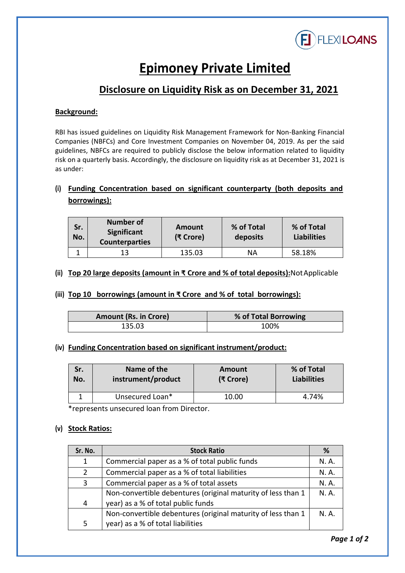

# **Epimoney Private Limited**

## **Disclosure on Liquidity Risk as on December 31, 2021**

#### **Background:**

RBI has issued guidelines on Liquidity Risk Management Framework for Non-Banking Financial Companies (NBFCs) and Core Investment Companies on November 04, 2019. As per the said guidelines, NBFCs are required to publicly disclose the below information related to liquidity risk on a quarterly basis. Accordingly, the disclosure on liquidity risk as at December 31, 2021 is as under:

### **(i) Funding Concentration based on significant counterparty (both deposits and borrowings):**

| Sr.<br>No. | <b>Number of</b><br>Significant<br><b>Counterparties</b> | Amount<br>(₹ Crore) | % of Total<br>deposits | % of Total<br><b>Liabilities</b> |
|------------|----------------------------------------------------------|---------------------|------------------------|----------------------------------|
|            | 12                                                       | 135.03              | ΝA                     | 58.18%                           |

#### **(ii) Top 20 large deposits (amount in ₹ Crore and % of total deposits):** NotApplicable

#### **(iii) Top 10 borrowings (amount in ₹ Crore and % of total borrowings):**

| <b>Amount (Rs. in Crore)</b> | % of Total Borrowing |
|------------------------------|----------------------|
| 135.03                       | 100%                 |

#### **(iv) Funding Concentration based on significant instrument/product:**

| Sr. | Name of the        | Amount    | % of Total         |
|-----|--------------------|-----------|--------------------|
| No. | instrument/product | (₹ Crore) | <b>Liabilities</b> |
|     | Unsecured Loan*    | 10.00     | 4.74%              |

\*represents unsecured loan from Director.

#### **(v) Stock Ratios:**

| Sr. No.        | <b>Stock Ratio</b>                                           | %     |
|----------------|--------------------------------------------------------------|-------|
| 1              | Commercial paper as a % of total public funds                | N. A. |
| 2              | Commercial paper as a % of total liabilities                 | N. A. |
| 3              | Commercial paper as a % of total assets                      | N. A. |
|                | Non-convertible debentures (original maturity of less than 1 | N. A. |
| $\overline{4}$ | year) as a % of total public funds                           |       |
|                | Non-convertible debentures (original maturity of less than 1 | N. A. |
| 5              | year) as a % of total liabilities                            |       |